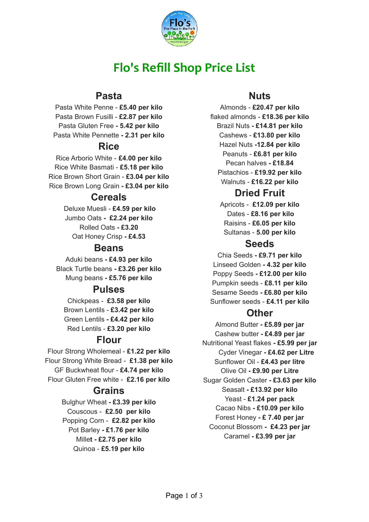

# **Flo's Refill Shop Price List**

#### **Pasta**

Pasta White Penne - **£5.40 per kilo** Pasta Brown Fusilli - **£2.87 per kilo** Pasta Gluten Free **- 5.42 per kilo** Pasta White Pennette **- 2.31 per kilo**

#### **Rice**

Rice Arborio White - **£4.00 per kilo** Rice White Basmati - **£5.18 per kilo** Rice Brown Short Grain - **£3.04 per kilo** Rice Brown Long Grain **- £3.04 per kilo**

#### **Cereals**

Deluxe Muesli - **£4.59 per kilo** Jumbo Oats **- £2.24 per kilo** Rolled Oats **- £3.20** Oat Honey Crisp **- £4.53**

#### **Beans**

Aduki beans **- £4.93 per kilo** Black Turtle beans **- £3.26 per kilo** Mung beans **- £5.76 per kilo**

#### **Pulses**

Chickpeas - **£3.58 per kilo** Brown Lentils - **£3.42 per kilo** Green Lentils **- £4.42 per kilo** Red Lentils - **£3.20 per kilo**

#### **Flour**

Flour Strong Wholemeal - **£1.22 per kilo** Flour Strong White Bread - **£1.38 per kilo** GF Buckwheat flour - **£4.74 per kilo** Flour Gluten Free white - **£2.16 per kilo**

#### **Grains**

Bulghur Wheat **- £3.39 per kilo** Couscous - **£2.50 per kilo** Popping Corn - **£2.82 per kilo** Pot Barley **- £1.76 per kilo** Mille**t - £2.75 per kilo** Quinoa - **£5.19 per kilo**

### **Nuts**

Almonds - **£20.47 per kilo** flaked almonds - **£18.36 per kilo** Brazil Nuts **- £14.81 per kilo** Cashews - **£13.80 per kilo** Hazel Nuts **-12.84 per kilo** Peanuts - **£6.81 per kilo** Pecan halves **- £18.84** Pistachios - **£19.92 per kilo** Walnuts - **£16.22 per kilo**

## **Dried Fruit**

Apricots - **£12.09 per kilo** Dates - **£8.16 per kilo** Raisins - **£6.05 per kilo** Sultanas - **5.00 per kilo**

#### **Seeds**

Chia Seeds **- £9.71 per kilo** Linseed Golden **- 4.32 per kilo** Poppy Seeds **- £12.00 per kilo** Pumpkin seeds - **£8.11 per kilo** Sesame Seeds **- £6.80 per kilo** Sunflower seeds - **£4.11 per kilo**

### **Other**

Almond Butter **- £5.89 per jar** Cashew butter **- £4.89 per jar** Nutritional Yeast flakes **- £5.99 per jar** Cyder Vinegar **- £4.62 per Litre** Sunflower Oil - **£4.43 per litre** Olive Oil **- £9.90 per Litre** Sugar Golden Caster **- £3.63 per kilo** Seasalt **- £13.92 per kilo** Yeast - **£1.24 per pack** Cacao Nibs **- £10.09 per kilo** Forest Honey **- £ 7.40 per jar** Coconut Blossom **- £4.23 per jar** Caramel **- £3.99 per jar**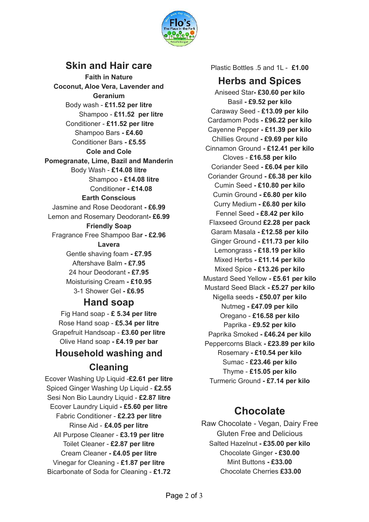

### **Skin and Hair care**

**Faith in Nature Coconut, Aloe Vera, Lavender and Geranium** Body wash - **£11.52 per litre** Shampoo - **£11.52 per litre** Conditioner - **£11.52 per litre** Shampoo Bars **- £4.60** Conditioner Bars **- £5.55 Cole and Cole Pomegranate, Lime, Bazil and Manderin** Body Wash - **£14.08 litre** Shampoo **- £14.08 litre** Conditione**r - £14.08 Earth Conscious** Jasmine and Rose Deodorant **- £6.99** Lemon and Rosemary Deodorant**- £6.99 Friendly Soap** Fragrance Free Shampoo Ba**r - £2.96 Lavera** Gentle shaving foam **- £7.95** Aftershave Balm **- £7.95** 24 hour Deodorant **- £7.95** Moisturising Cream **- £10.95** 3-1 Shower Gel **- £6.95 Hand soap**

Fig Hand soap - **£ 5.34 per litre** Rose Hand soap - **£5.34 per litre** Grapefruit Handsoap - **£3.60 per litre** Olive Hand soap **- £4.19 per bar**

### **Household washing and Cleaning**

Ecover Washing Up Liquid -**£2.61 per litre** Spiced Ginger Washing Up Liquid - **£2.55** Sesi Non Bio Laundry Liquid - **£2.87 litre** Ecover Laundry Liquid **- £5.60 per litre** Fabric Conditioner - **£2.23 per litre** Rinse Aid - **£4.05 per litre** All Purpose Cleaner - **£3.19 per litre** Toilet Cleaner - **£2.87 per litre** Cream Cleaner **- £4.05 per litre** Vinegar for Cleaning - **£1.87 per litre** Bicarbonate of Soda for Cleaning - **£1.72**

Plastic Bottles .5 and 1L - **£1.00**

#### **Herbs and Spices**

Aniseed Star**- £30.60 per kilo** Basil **- £9.52 per kilo** Caraway Seed - **£13.09 per kilo** Cardamom Pods **- £96.22 per kilo** Cayenne Pepper **- £11.39 per kilo** Chillies Ground **- £9.69 per kilo** Cinnamon Ground **- £12.41 per kilo** Cloves - **£16.58 per kilo** Coriander Seed **- £6.04 per kilo** Coriander Ground **- £6.38 per kilo** Cumin Seed **- £10.80 per kilo** Cumin Ground **- £6.80 per kilo** Curry Medium **- £6.80 per kilo** Fennel Seed **- £8.42 per kilo** Flaxseed Ground **£2.28 per pack** Garam Masala **- £12.58 per kilo** Ginger Ground **- £11.73 per kilo** Lemongrass **- £18.19 per kilo** Mixed Herbs **- £11.14 per kilo** Mixed Spice **- £13.26 per kilo** Mustard Seed Yellow **- £5.61 per kilo** Mustard Seed Black **- £5.27 per kilo** Nigella seeds **- £50.07 per kilo** Nutmeg **- £47.09 per kilo** Oregano - **£16.58 per kilo** Paprika - **£9.52 per kilo** Paprika Smoked **- £46.24 per kilo** Peppercorns Black **- £23.89 per kilo** Rosemary **- £10.54 per kilo** Sumac - **£23.46 per kilo** Thyme - **£15.05 per kilo** Turmeric Ground **- £7.14 per kilo**

# **Chocolate**

Raw Chocolate - Vegan, Dairy Free Gluten Free and Delicious Salted Hazelnut **- £35.00 per kilo** Chocolate Ginger **- £30.00** Mint Buttons **- £33.00** Chocolate Cherries **£33.00**